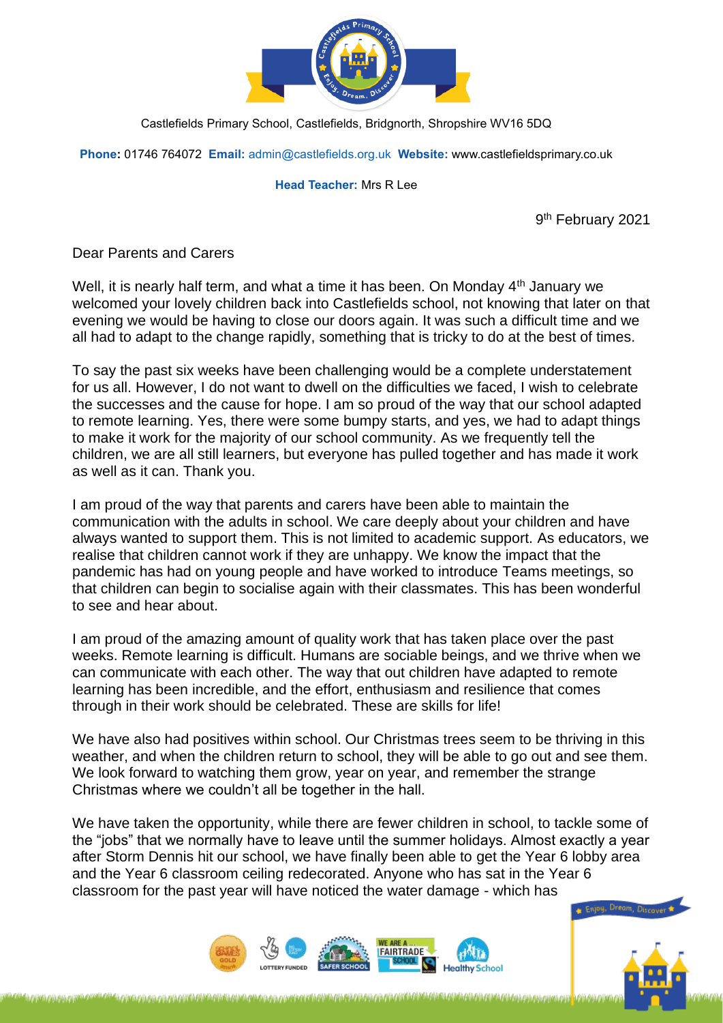

Castlefields Primary School, Castlefields, Bridgnorth, Shropshire WV16 5DQ

**Phone:** 01746 764072 **Email:** [admin@castlefields.org.uk](mailto:admin@castlefields.org.uk) **Website:** www.castlefieldsprimary.co.uk

## **Head Teacher:** Mrs R Lee

9 th February 2021

Dear Parents and Carers

Well, it is nearly half term, and what a time it has been. On Monday 4<sup>th</sup> January we welcomed your lovely children back into Castlefields school, not knowing that later on that evening we would be having to close our doors again. It was such a difficult time and we all had to adapt to the change rapidly, something that is tricky to do at the best of times.

To say the past six weeks have been challenging would be a complete understatement for us all. However, I do not want to dwell on the difficulties we faced, I wish to celebrate the successes and the cause for hope. I am so proud of the way that our school adapted to remote learning. Yes, there were some bumpy starts, and yes, we had to adapt things to make it work for the majority of our school community. As we frequently tell the children, we are all still learners, but everyone has pulled together and has made it work as well as it can. Thank you.

I am proud of the way that parents and carers have been able to maintain the communication with the adults in school. We care deeply about your children and have always wanted to support them. This is not limited to academic support. As educators, we realise that children cannot work if they are unhappy. We know the impact that the pandemic has had on young people and have worked to introduce Teams meetings, so that children can begin to socialise again with their classmates. This has been wonderful to see and hear about.

I am proud of the amazing amount of quality work that has taken place over the past weeks. Remote learning is difficult. Humans are sociable beings, and we thrive when we can communicate with each other. The way that out children have adapted to remote learning has been incredible, and the effort, enthusiasm and resilience that comes through in their work should be celebrated. These are skills for life!

We have also had positives within school. Our Christmas trees seem to be thriving in this weather, and when the children return to school, they will be able to go out and see them. We look forward to watching them grow, year on year, and remember the strange Christmas where we couldn't all be together in the hall.

We have taken the opportunity, while there are fewer children in school, to tackle some of the "jobs" that we normally have to leave until the summer holidays. Almost exactly a year after Storm Dennis hit our school, we have finally been able to get the Year 6 lobby area and the Year 6 classroom ceiling redecorated. Anyone who has sat in the Year 6 classroom for the past year will have noticed the water damage - which has





Cainu, Drei